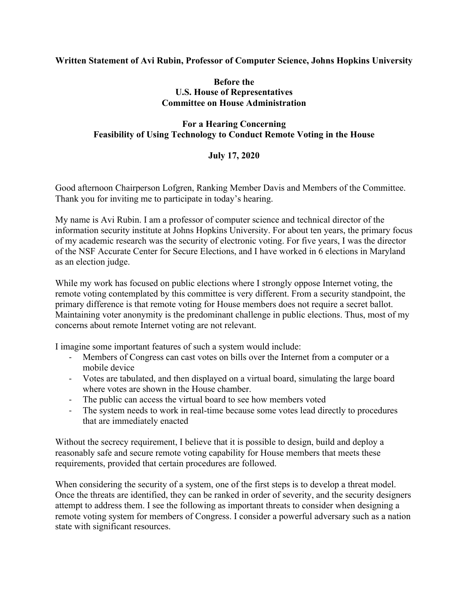## **Written Statement of Avi Rubin, Professor of Computer Science, Johns Hopkins University**

## **Before the U.S. House of Representatives Committee on House Administration**

## **For a Hearing Concerning Feasibility of Using Technology to Conduct Remote Voting in the House**

## **July 17, 2020**

Good afternoon Chairperson Lofgren, Ranking Member Davis and Members of the Committee. Thank you for inviting me to participate in today's hearing.

My name is Avi Rubin. I am a professor of computer science and technical director of the information security institute at Johns Hopkins University. For about ten years, the primary focus of my academic research was the security of electronic voting. For five years, I was the director of the NSF Accurate Center for Secure Elections, and I have worked in 6 elections in Maryland as an election judge.

While my work has focused on public elections where I strongly oppose Internet voting, the remote voting contemplated by this committee is very different. From a security standpoint, the primary difference is that remote voting for House members does not require a secret ballot. Maintaining voter anonymity is the predominant challenge in public elections. Thus, most of my concerns about remote Internet voting are not relevant.

I imagine some important features of such a system would include:

- Members of Congress can cast votes on bills over the Internet from a computer or a mobile device
- Votes are tabulated, and then displayed on a virtual board, simulating the large board where votes are shown in the House chamber.
- The public can access the virtual board to see how members voted
- The system needs to work in real-time because some votes lead directly to procedures that are immediately enacted

Without the secrecy requirement, I believe that it is possible to design, build and deploy a reasonably safe and secure remote voting capability for House members that meets these requirements, provided that certain procedures are followed.

When considering the security of a system, one of the first steps is to develop a threat model. Once the threats are identified, they can be ranked in order of severity, and the security designers attempt to address them. I see the following as important threats to consider when designing a remote voting system for members of Congress. I consider a powerful adversary such as a nation state with significant resources.